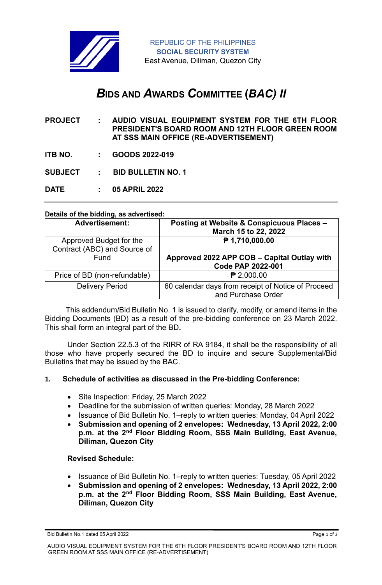

# *B***IDS AND** *A***WARDS** *C***OMMITTEE (***BAC) II*

**PROJECT : AUDIO VISUAL EQUIPMENT SYSTEM FOR THE 6TH FLOOR PRESIDENT'S BOARD ROOM AND 12TH FLOOR GREEN ROOM AT SSS MAIN OFFICE (RE-ADVERTISEMENT)**

**ITB NO. : GOODS 2022-019**

**SUBJECT : BID BULLETIN NO. 1**

**DATE : 05 APRIL 2022**

#### **Details of the bidding, as advertised:**

| <b>Advertisement:</b>                                   | Posting at Website & Conspicuous Places -<br>March 15 to 22, 2022        |
|---------------------------------------------------------|--------------------------------------------------------------------------|
| Approved Budget for the<br>Contract (ABC) and Source of | ₱ 1,710,000.00                                                           |
| Fund                                                    | Approved 2022 APP COB - Capital Outlay with<br><b>Code PAP 2022-001</b>  |
| Price of BD (non-refundable)                            | $P$ 2,000.00                                                             |
| <b>Delivery Period</b>                                  | 60 calendar days from receipt of Notice of Proceed<br>and Purchase Order |

 This addendum/Bid Bulletin No. 1 is issued to clarify, modify, or amend items in the Bidding Documents (BD) as a result of the pre-bidding conference on 23 March 2022. This shall form an integral part of the BD**.**

Under Section 22.5.3 of the RIRR of RA 9184, it shall be the responsibility of all those who have properly secured the BD to inquire and secure Supplemental/Bid Bulletins that may be issued by the BAC.

## **1. Schedule of activities as discussed in the Pre-bidding Conference:**

- Site Inspection: Friday, 25 March 2022
- Deadline for the submission of written queries: Monday, 28 March 2022
- Issuance of Bid Bulletin No. 1–reply to written queries: Monday, 04 April 2022
- **Submission and opening of 2 envelopes: Wednesday, 13 April 2022, 2:00 p.m. at the 2nd Floor Bidding Room, SSS Main Building, East Avenue, Diliman, Quezon City**

## **Revised Schedule:**

- Issuance of Bid Bulletin No. 1–reply to written queries: Tuesday, 05 April 2022
- **Submission and opening of 2 envelopes: Wednesday, 13 April 2022, 2:00 p.m. at the 2nd Floor Bidding Room, SSS Main Building, East Avenue, Diliman, Quezon City**

Bid Bulletin No.1 dated 05 April 2022 **Page 1 of 3 Page 1 of 3**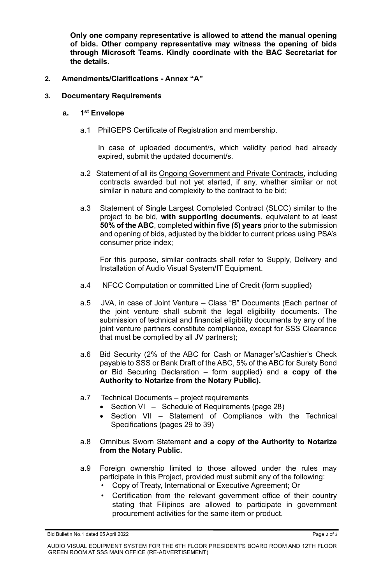**Only one company representative is allowed to attend the manual opening of bids. Other company representative may witness the opening of bids through Microsoft Teams. Kindly coordinate with the BAC Secretariat for the details.**

# **2. Amendments/Clarifications - Annex "A"**

## **3. Documentary Requirements**

#### **a. 1 st Envelope**

a.1 PhilGEPS Certificate of Registration and membership.

In case of uploaded document/s, which validity period had already expired, submit the updated document/s.

- a.2 Statement of all its Ongoing Government and Private Contracts, including contracts awarded but not yet started, if any, whether similar or not similar in nature and complexity to the contract to be bid;
- a.3 Statement of Single Largest Completed Contract (SLCC) similar to the project to be bid, **with supporting documents**, equivalent to at least **50% of the ABC**, completed **within five (5) years** prior to the submission and opening of bids, adjusted by the bidder to current prices using PSA's consumer price index;

For this purpose, similar contracts shall refer to Supply, Delivery and Installation of Audio Visual System/IT Equipment.

- a.4 NFCC Computation or committed Line of Credit (form supplied)
- a.5 JVA, in case of Joint Venture Class "B" Documents (Each partner of the joint venture shall submit the legal eligibility documents. The submission of technical and financial eligibility documents by any of the joint venture partners constitute compliance, except for SSS Clearance that must be complied by all JV partners);
- a.6 Bid Security (2% of the ABC for Cash or Manager's/Cashier's Check payable to SSS or Bank Draft of the ABC, 5% of the ABC for Surety Bond **or** Bid Securing Declaration – form supplied) and **a copy of the Authority to Notarize from the Notary Public).**
- a.7 Technical Documents project requirements
	- Section VI Schedule of Requirements (page 28)
	- Section VII Statement of Compliance with the Technical Specifications (pages 29 to 39)
- a.8 Omnibus Sworn Statement **and a copy of the Authority to Notarize from the Notary Public.**
- a.9 Foreign ownership limited to those allowed under the rules may participate in this Project, provided must submit any of the following:
	- Copy of Treaty, International or Executive Agreement; Or
	- Certification from the relevant government office of their country stating that Filipinos are allowed to participate in government procurement activities for the same item or product.

Bid Bulletin No.1 dated 05 April 2022 **Page 2 of 3 Page 2 of 3** 

AUDIO VISUAL EQUIPMENT SYSTEM FOR THE 6TH FLOOR PRESIDENT'S BOARD ROOM AND 12TH FLOOR GREEN ROOM AT SSS MAIN OFFICE (RE-ADVERTISEMENT)